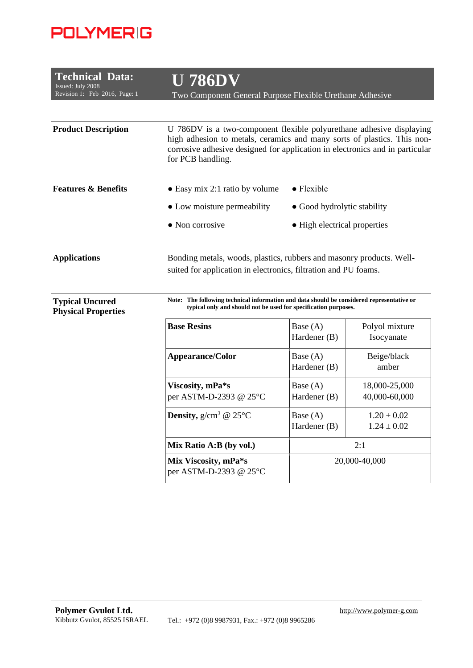## **POLYMERIG**

| <b>Technical Data:</b><br>Issued: July 2008<br>Revision 1: Feb 2016, Page: 1 | <b>U 786DV</b><br>Two Component General Purpose Flexible Urethane Adhesive                                                                                                                                                                                                                              |                              |                                    |  |
|------------------------------------------------------------------------------|---------------------------------------------------------------------------------------------------------------------------------------------------------------------------------------------------------------------------------------------------------------------------------------------------------|------------------------------|------------------------------------|--|
| <b>Product Description</b>                                                   | U 786DV is a two-component flexible polyurethane adhesive displaying<br>high adhesion to metals, ceramics and many sorts of plastics. This non-<br>corrosive adhesive designed for application in electronics and in particular<br>for PCB handling.                                                    |                              |                                    |  |
| <b>Features &amp; Benefits</b>                                               | $\bullet$ Flexible<br>$\bullet$ Easy mix 2:1 ratio by volume                                                                                                                                                                                                                                            |                              |                                    |  |
|                                                                              | • Low moisture permeability                                                                                                                                                                                                                                                                             | • Good hydrolytic stability  |                                    |  |
|                                                                              | $\bullet$ Non corrosive                                                                                                                                                                                                                                                                                 | • High electrical properties |                                    |  |
| <b>Applications</b><br><b>Typical Uncured</b><br><b>Physical Properties</b>  | Bonding metals, woods, plastics, rubbers and masonry products. Well-<br>suited for application in electronics, filtration and PU foams.<br>Note: The following technical information and data should be considered representative or<br>typical only and should not be used for specification purposes. |                              |                                    |  |
|                                                                              | <b>Base Resins</b>                                                                                                                                                                                                                                                                                      | Base $(A)$<br>Hardener (B)   | Polyol mixture<br>Isocyanate       |  |
|                                                                              | Appearance/Color                                                                                                                                                                                                                                                                                        | Base (A)<br>Hardener (B)     | Beige/black<br>amber               |  |
|                                                                              | Viscosity, mPa*s<br>per ASTM-D-2393 @ 25°C                                                                                                                                                                                                                                                              | Base (A)<br>Hardener (B)     | 18,000-25,000<br>40,000-60,000     |  |
|                                                                              | <b>Density,</b> $g/cm^3$ @ 25 $^{\circ}$ C                                                                                                                                                                                                                                                              | Base (A)<br>Hardener (B)     | $1.20 \pm 0.02$<br>$1.24 \pm 0.02$ |  |
|                                                                              | Mix Ratio A:B (by vol.)                                                                                                                                                                                                                                                                                 |                              | 2:1                                |  |
|                                                                              | Mix Viscosity, mPa*s<br>per ASTM-D-2393 @ 25°C                                                                                                                                                                                                                                                          |                              | 20,000-40,000                      |  |